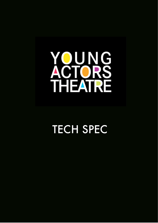# YOUNG<br>ACTORS<br>THEATRE

## **TECH SPEC**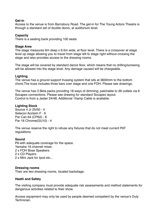#### **Get-in**

Access to the venue is from Barnsbury Road. The get-in for The Young Actors Theatre is through a standard set of double doors, at auditorium level.

#### **Capacity**

There is a seating bank providing 100 seats

#### **Stage Area**

The stage measures 6m deep x 9.5m wide, at floor level. There is a crossover at stage level up stage allowing you to travel from stage left to stage right without crossing the stage and also provides access to the dressing rooms.

The stage will be covered by standard dance floor, which means that no drilling/screwing will be allowed into the stage level. Any damage caused will be chargeable.

#### **Lighting**

The venue has a ground support trussing system that sits at 3600mm to the bottom chord,The truss includes three bars over stage and one FOH. Please see drawings.

The venue has 3 Beta packs providing 18 ways of dimming; patchable to 36 outlets via 6 Socapex connections. Please see drawing for standard Socapex layout. Control is from a Jester 24/48. Additional 15amp Cable is available.

#### **Lighting Stock**

Source 4 Jr 25/50 - 4 Selecon Acclaim F - 6 Par Can 64 (CP62) - 8 Par 16 Chrome(GU10) - 4

The venue reserve the right to refuse any fixtures that do not meet current PAT regulations.

#### **Sound**

PA with adequate coverage for the space. Yamaha 16 channel mixer, 2 x FOH Bose Speakers 2 x CD Players 2 x Mini Jack for Ipod etc...

#### **Dressing rooms**

Their are two dressing rooms, located backstage.

#### **Heath and Safety**

The visiting company must provide adequate risk assessments and method statements for dangerous activities related to their show.

Access equipment may only be used by people deemed competent by the venue's Duty **Technician**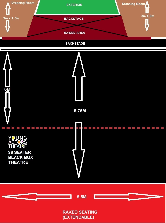



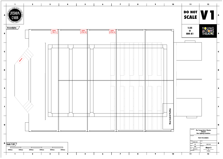